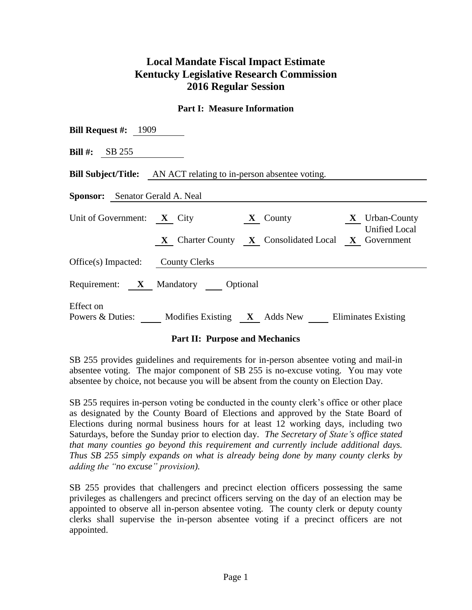# **Local Mandate Fiscal Impact Estimate Kentucky Legislative Research Commission 2016 Regular Session**

#### **Part I: Measure Information**

| <b>Bill Request #:</b> 1909                                                                                                                                     |  |  |  |  |  |  |  |
|-----------------------------------------------------------------------------------------------------------------------------------------------------------------|--|--|--|--|--|--|--|
| <b>Bill #:</b> SB 255                                                                                                                                           |  |  |  |  |  |  |  |
| <b>Bill Subject/Title:</b> AN ACT relating to in-person absentee voting.                                                                                        |  |  |  |  |  |  |  |
| <b>Sponsor:</b> Senator Gerald A. Neal                                                                                                                          |  |  |  |  |  |  |  |
| Unit of Government: $X$ City<br>X Urban-County<br>$X$ County<br><b>Unified Local</b><br><b>X</b> Charter County <b>X</b> Consolidated Local <b>X</b> Government |  |  |  |  |  |  |  |
| Office(s) Impacted: County Clerks                                                                                                                               |  |  |  |  |  |  |  |
| Requirement: X Mandatory Optional                                                                                                                               |  |  |  |  |  |  |  |
| Effect on<br>Powers & Duties:<br>Modifies Existing $X$ Adds New Eliminates Existing                                                                             |  |  |  |  |  |  |  |

## **Part II: Purpose and Mechanics**

SB 255 provides guidelines and requirements for in-person absentee voting and mail-in absentee voting. The major component of SB 255 is no-excuse voting. You may vote absentee by choice, not because you will be absent from the county on Election Day.

SB 255 requires in-person voting be conducted in the county clerk's office or other place as designated by the County Board of Elections and approved by the State Board of Elections during normal business hours for at least 12 working days, including two Saturdays, before the Sunday prior to election day. *The Secretary of State's office stated that many counties go beyond this requirement and currently include additional days. Thus SB 255 simply expands on what is already being done by many county clerks by adding the "no excuse" provision).*

SB 255 provides that challengers and precinct election officers possessing the same privileges as challengers and precinct officers serving on the day of an election may be appointed to observe all in-person absentee voting. The county clerk or deputy county clerks shall supervise the in-person absentee voting if a precinct officers are not appointed.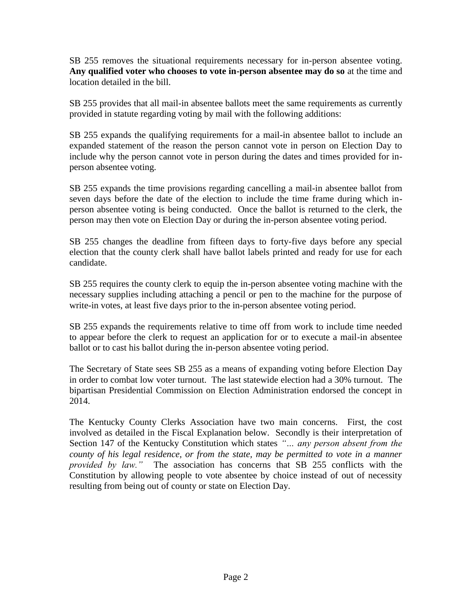SB 255 removes the situational requirements necessary for in-person absentee voting. **Any qualified voter who chooses to vote in-person absentee may do so** at the time and location detailed in the bill.

SB 255 provides that all mail-in absentee ballots meet the same requirements as currently provided in statute regarding voting by mail with the following additions:

SB 255 expands the qualifying requirements for a mail-in absentee ballot to include an expanded statement of the reason the person cannot vote in person on Election Day to include why the person cannot vote in person during the dates and times provided for inperson absentee voting.

SB 255 expands the time provisions regarding cancelling a mail-in absentee ballot from seven days before the date of the election to include the time frame during which inperson absentee voting is being conducted. Once the ballot is returned to the clerk, the person may then vote on Election Day or during the in-person absentee voting period.

SB 255 changes the deadline from fifteen days to forty-five days before any special election that the county clerk shall have ballot labels printed and ready for use for each candidate.

SB 255 requires the county clerk to equip the in-person absentee voting machine with the necessary supplies including attaching a pencil or pen to the machine for the purpose of write-in votes, at least five days prior to the in-person absentee voting period.

SB 255 expands the requirements relative to time off from work to include time needed to appear before the clerk to request an application for or to execute a mail-in absentee ballot or to cast his ballot during the in-person absentee voting period.

The Secretary of State sees SB 255 as a means of expanding voting before Election Day in order to combat low voter turnout. The last statewide election had a 30% turnout. The bipartisan Presidential Commission on Election Administration endorsed the concept in 2014.

The Kentucky County Clerks Association have two main concerns. First, the cost involved as detailed in the Fiscal Explanation below. Secondly is their interpretation of Section 147 of the Kentucky Constitution which states *"… any person absent from the county of his legal residence, or from the state, may be permitted to vote in a manner provided by law."* The association has concerns that SB 255 conflicts with the Constitution by allowing people to vote absentee by choice instead of out of necessity resulting from being out of county or state on Election Day.